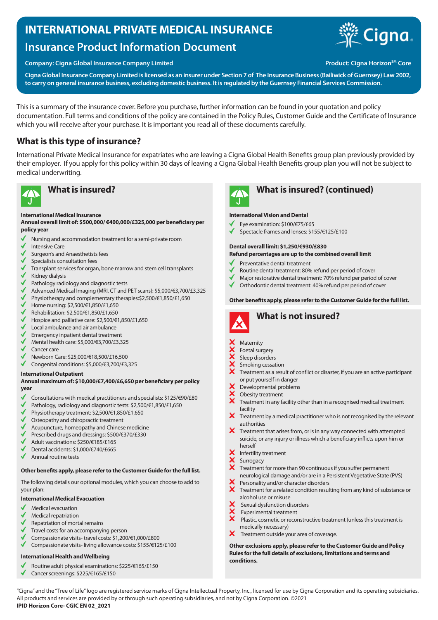# **INTERNATIONAL PRIVATE MEDICAL INSURANCE**

# **Insurance Product Information Document**

### **Company: Cigna Global Insurance Company Limited Accord Product: Cigna Horizon<sup>SM</sup> Core**



**Cigna Global Insurance Company Limited is licensed as an insurer under Section 7 of The Insurance Business (Bailiwick of Guernsey) Law 2002, to carry on general insurance business, excluding domestic business. It is regulated by the Guernsey Financial Services Commission.**

This is a summary of the insurance cover. Before you purchase, further information can be found in your quotation and policy documentation. Full terms and conditions of the policy are contained in the Policy Rules, Customer Guide and the Certificate of Insurance which you will receive after your purchase. It is important you read all of these documents carefully.

# **What is this type of insurance?**

International Private Medical Insurance for expatriates who are leaving a Cigna Global Health Benefits group plan previously provided by their employer. If you apply for this policy within 30 days of leaving a Cigna Global Health Benefits group plan you will not be subject to medical underwriting.



#### **International Medical Insurance**

#### **Annual overall limit of: \$500,000/ €400,000/£325,000 per beneficiary per policy year**

- Nursing and accommodation treatment for a semi-private room
- Intensive Care
- Surgeon's and Anaesthetists fees
- Specialists consultation fees
- Transplant services for organ, bone marrow and stem cell transplants
- Kidney dialysis
- Pathology radiology and diagnostic tests
- $\checkmark$ Advanced Medical Imaging (MRI, CT and PET scans): \$5,000/€3,700/£3,325
- $\checkmark$ Physiotherapy and complementary therapies:\$2,500/€1,850/£1,650
- √ Home nursing: \$2,500/€1,850/£1,650
- Rehabilitation: \$2,500/€1,850/£1,650
- Hospice and palliative care: \$2,500/€1,850/£1,650
- Local ambulance and air ambulance
- Emergency inpatient dental treatment
- Mental health care: \$5,000/€3,700/£3,325
- Cancer care
- Newborn Care: \$25,000/€18,500/£16,500
- Congenital conditions: \$5,000/€3,700/£3,325

#### **International Outpatient**

#### **Annual maximum of: \$10,000/€7,400/£6,650 per beneficiary per policy year**

- Consultations with medical practitioners and specialists: \$125/€90/£80
- Pathology, radiology and diagnostic tests: \$2,500/€1,850/£1,650
- Physiotherapy treatment: \$2,500/€1,850/£1,650
- Osteopathy and chiropractic treatment
- Acupuncture, homeopathy and Chinese medicine
- Prescribed drugs and dressings: \$500/€370/£330
- Adult vaccinations: \$250/€185/£165
- Dental accidents: \$1,000/€740/£665
- Annual routine tests

### **Other benefits apply, please refer to the Customer Guide for the full list.**

The following details our optional modules, which you can choose to add to your plan:

### **International Medical Evacuation**

- Medical evacuation
- Medical repatriation
- Repatriation of mortal remains
- Travel costs for an accompanying person
- Compassionate visits- travel costs: \$1,200/€1,000/£800
- $\checkmark$ Compassionate visits- living allowance costs: \$155/€125/£100

### **International Health and Wellbeing**

- Routine adult physical examinations: \$225/€165/£150
- Cancer screenings: \$225/€165/£150



# **What is insured? What is insured? (continued)**

#### **International Vision and Dental**

- Eye examination: \$100/€75/£65
- Spectacle frames and lenses: \$155/€125/£100

#### **Dental overall limit: \$1,250/€930/£830**

#### **Refund percentages are up to the combined overall limit**

- Preventative dental treatment
- Routine dental treatment: 80% refund per period of cover
- Major restorative dental treatment: 70% refund per period of cover
- Orthodontic dental treatment: 40% refund per period of cover

#### **Other benefits apply, please refer to the Customer Guide for the full list.**



# **What is not insured?**

#### Maternity

- Foetal surgery
- Sleep disorders
- **xxxxx** Smoking cessation
- Treatment as a result of conflict or disaster, if you are an active participant or put yourself in danger
- Developmental problems
- XXX Obesity treatment
- Treatment in any facility other than in a recognised medical treatment facility
- X Treatment by a medical practitioner who is not recognised by the relevant authorities
- $\boldsymbol{\mathsf{X}}$ Treatment that arises from, or is in any way connected with attempted suicide, or any injury or illness which a beneficiary inflicts upon him or herself
- Infertility treatment
- Surrogacy
- Treatment for more than 90 continuous if you suffer permanent neurological damage and/or are in a Persistent Vegetative State (PVS)
- Personality and/or character disorders  $\boldsymbol{\hat{x}}$
- Treatment for a related condition resulting from any kind of substance or alcohol use or misuse
- Sexual dysfunction disorders
- Experimental treatment
- $\overline{\mathbf{x}}$  Plastic, cosmetic or reconstructive treatment (unless this treatment is medically necessary)
- $\boldsymbol{\mathsf{x}}$ Treatment outside your area of coverage.

**Other exclusions apply, please refer to the Customer Guide and Policy Rules for the full details of exclusions, limitations and terms and conditions.**

"Cigna" and the "Tree of Life" logo are registered service marks of Cigna Intellectual Property, Inc., licensed for use by Cigna Corporation and its operating subsidiaries. All products and services are provided by or through such operating subsidiaries, and not by Cigna Corporation. ©2021 **IPID Horizon Core- CGIC EN 02\_2021**